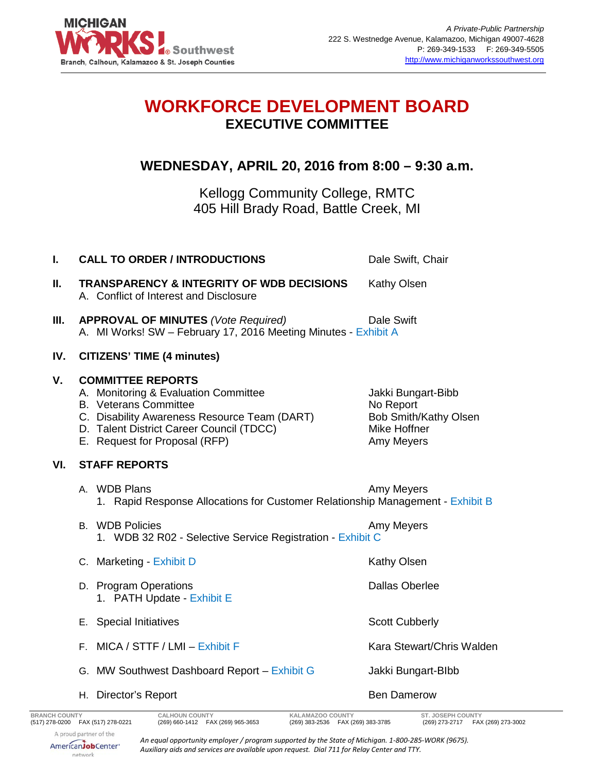

## **WORKFORCE DEVELOPMENT BOARD EXECUTIVE COMMITTEE**

**WEDNESDAY, APRIL 20, 2016 from 8:00 – 9:30 a.m.**

Kellogg Community College, RMTC 405 Hill Brady Road, Battle Creek, MI

|                                                                                                                                                                                                                                                     | ı.  | <b>CALL TO ORDER / INTRODUCTIONS</b>                                                                                                                                                                                          | Dale Swift, Chair                                                                      |
|-----------------------------------------------------------------------------------------------------------------------------------------------------------------------------------------------------------------------------------------------------|-----|-------------------------------------------------------------------------------------------------------------------------------------------------------------------------------------------------------------------------------|----------------------------------------------------------------------------------------|
|                                                                                                                                                                                                                                                     | П.  | <b>TRANSPARENCY &amp; INTEGRITY OF WDB DECISIONS</b><br>A. Conflict of Interest and Disclosure                                                                                                                                | Kathy Olsen                                                                            |
|                                                                                                                                                                                                                                                     | Ш.  | <b>APPROVAL OF MINUTES (Vote Required)</b><br>A. MI Works! SW - February 17, 2016 Meeting Minutes - Exhibit A                                                                                                                 | Dale Swift                                                                             |
|                                                                                                                                                                                                                                                     | IV. | <b>CITIZENS' TIME (4 minutes)</b>                                                                                                                                                                                             |                                                                                        |
|                                                                                                                                                                                                                                                     | V.  | <b>COMMITTEE REPORTS</b><br>A. Monitoring & Evaluation Committee<br><b>B.</b> Veterans Committee<br>C. Disability Awareness Resource Team (DART)<br>D. Talent District Career Council (TDCC)<br>E. Request for Proposal (RFP) | Jakki Bungart-Bibb<br>No Report<br>Bob Smith/Kathy Olsen<br>Mike Hoffner<br>Amy Meyers |
|                                                                                                                                                                                                                                                     | VI. | <b>STAFF REPORTS</b>                                                                                                                                                                                                          |                                                                                        |
|                                                                                                                                                                                                                                                     |     | A. WDB Plans<br>1. Rapid Response Allocations for Customer Relationship Management - Exhibit B                                                                                                                                | Amy Meyers                                                                             |
|                                                                                                                                                                                                                                                     |     | <b>B.</b> WDB Policies<br>1. WDB 32 R02 - Selective Service Registration - Exhibit C                                                                                                                                          | Amy Meyers                                                                             |
|                                                                                                                                                                                                                                                     |     | C. Marketing - Exhibit D                                                                                                                                                                                                      | Kathy Olsen                                                                            |
|                                                                                                                                                                                                                                                     |     | D. Program Operations<br>1. PATH Update - Exhibit E                                                                                                                                                                           | <b>Dallas Oberlee</b>                                                                  |
|                                                                                                                                                                                                                                                     |     | E. Special Initiatives                                                                                                                                                                                                        | <b>Scott Cubberly</b>                                                                  |
|                                                                                                                                                                                                                                                     |     | F. MICA / STTF / LMI - Exhibit F                                                                                                                                                                                              | Kara Stewart/Chris Walden                                                              |
|                                                                                                                                                                                                                                                     |     | G. MW Southwest Dashboard Report - Exhibit G                                                                                                                                                                                  | Jakki Bungart-Blbb                                                                     |
|                                                                                                                                                                                                                                                     |     | H. Director's Report                                                                                                                                                                                                          | <b>Ben Damerow</b>                                                                     |
| <b>BRANCH COUNTY</b><br><b>CALHOUN COUNTY</b><br>KALAMAZOO COUNTY<br><b>ST. JOSEPH COUNTY</b><br>(517) 278-0200 FAX (517) 278-0221<br>(269) 660-1412  FAX (269) 965-3653<br>(269) 383-2536  FAX (269) 383-3785<br>(269) 273-2717 FAX (269) 273-3002 |     |                                                                                                                                                                                                                               |                                                                                        |
| A proud partner of the                                                                                                                                                                                                                              |     |                                                                                                                                                                                                                               |                                                                                        |

AmericanJobCenter\* network

*An equal opportunity employer / program supported by the State of Michigan. 1-800-285-WORK (9675). Auxiliary aids and services are available upon request. Dial 711 for Relay Center and TTY.*